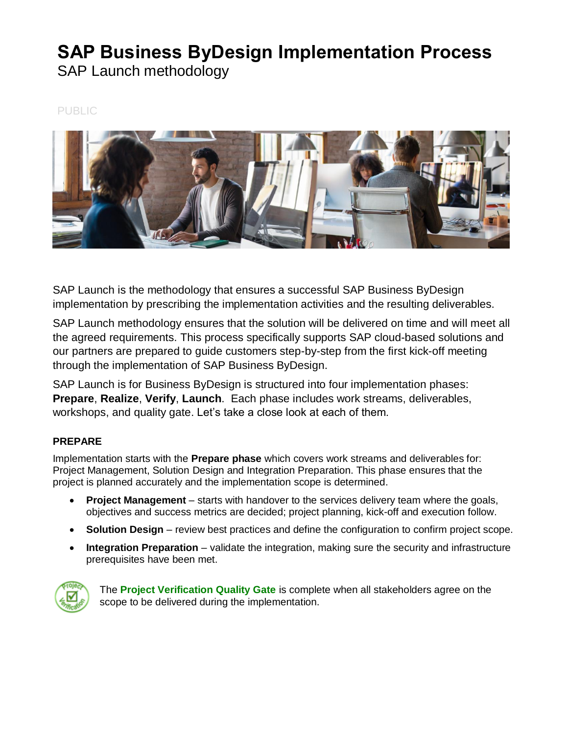# **SAP Business ByDesign Implementation Process**

SAP Launch methodology

PUBLIC



SAP Launch is the methodology that ensures a successful SAP Business ByDesign implementation by prescribing the implementation activities and the resulting deliverables.

SAP Launch methodology ensures that the solution will be delivered on time and will meet all the agreed requirements. This process specifically supports SAP cloud-based solutions and our partners are prepared to guide customers step-by-step from the first kick-off meeting through the implementation of SAP Business ByDesign.

SAP Launch is for Business ByDesign is structured into four implementation phases: **Prepare**, **Realize**, **Verify**, **Launch**. Each phase includes work streams, deliverables, workshops, and quality gate. Let's take a close look at each of them.

## **PREPARE**

Implementation starts with the **Prepare phase** which covers work streams and deliverables for: Project Management, Solution Design and Integration Preparation. This phase ensures that the project is planned accurately and the implementation scope is determined.

- **Project Management** starts with handover to the services delivery team where the goals, objectives and success metrics are decided; project planning, kick-off and execution follow.
- **Solution Design** review best practices and define the configuration to confirm project scope.
- **Integration Preparation** validate the integration, making sure the security and infrastructure prerequisites have been met.



The **Project Verification Quality Gate** is complete when all stakeholders agree on the scope to be delivered during the implementation.